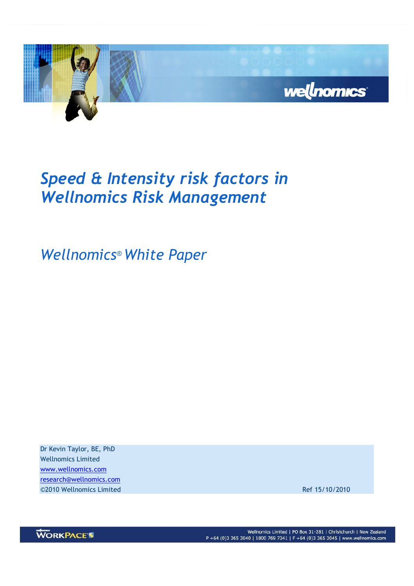

# Speed & Intensity risk factors in Wellnomics Risk Management

Wellnomics® White Paper

Dr Kevin Taylor, BE, PhD Wellnomics Limited www.wellnomics.com research@wellnomics.com ©2010 Wellnomics Limited Ref 15/10/2010



Wellnomics Limited | PO Box 31-281 | Christchurch | New Zealand P +64 (0)3 365 3040 | 1800 769 7341 | F +64 (0)3 365 3045 | www.wellnomics.com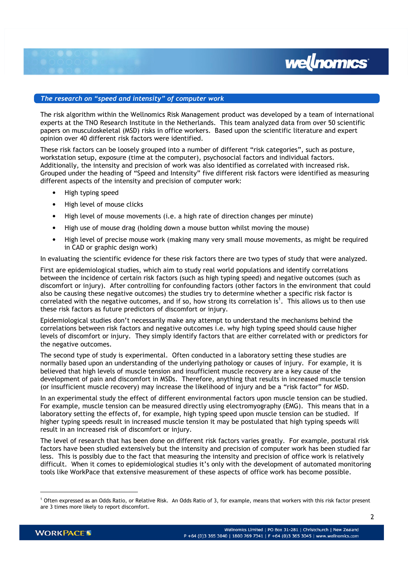# The research on "speed and intensity" of computer work

The risk algorithm within the Wellnomics Risk Management product was developed by a team of international experts at the TNO Research Institute in the Netherlands. This team analyzed data from over 50 scientific papers on musculoskeletal (MSD) risks in office workers. Based upon the scientific literature and expert opinion over 40 different risk factors were identified.

wellnomics<sup>®</sup>

These risk factors can be loosely grouped into a number of different "risk categories", such as posture, workstation setup, exposure (time at the computer), psychosocial factors and individual factors. Additionally, the intensity and precision of work was also identified as correlated with increased risk. Grouped under the heading of "Speed and Intensity" five different risk factors were identified as measuring different aspects of the intensity and precision of computer work:

- High typing speed
- High level of mouse clicks
- High level of mouse movements (i.e. a high rate of direction changes per minute)
- High use of mouse drag (holding down a mouse button whilst moving the mouse)
- High level of precise mouse work (making many very small mouse movements, as might be required in CAD or graphic design work)

In evaluating the scientific evidence for these risk factors there are two types of study that were analyzed.

First are epidemiological studies, which aim to study real world populations and identify correlations between the incidence of certain risk factors (such as high typing speed) and negative outcomes (such as discomfort or injury). After controlling for confounding factors (other factors in the environment that could also be causing these negative outcomes) the studies try to determine whether a specific risk factor is correlated with the negative outcomes, and if so, how strong its correlation is<sup>1</sup>. This allows us to then use these risk factors as future predictors of discomfort or injury.

Epidemiological studies don't necessarily make any attempt to understand the mechanisms behind the correlations between risk factors and negative outcomes i.e. why high typing speed should cause higher levels of discomfort or injury. They simply identify factors that are either correlated with or predictors for the negative outcomes.

The second type of study is experimental. Often conducted in a laboratory setting these studies are normally based upon an understanding of the underlying pathology or causes of injury. For example, it is believed that high levels of muscle tension and insufficient muscle recovery are a key cause of the development of pain and discomfort in MSDs. Therefore, anything that results in increased muscle tension (or insufficient muscle recovery) may increase the likelihood of injury and be a "risk factor" for MSD.

In an experimental study the effect of different environmental factors upon muscle tension can be studied. For example, muscle tension can be measured directly using electromyography (EMG). This means that in a laboratory setting the effects of, for example, high typing speed upon muscle tension can be studied. If higher typing speeds result in increased muscle tension it may be postulated that high typing speeds will result in an increased risk of discomfort or injury.

The level of research that has been done on different risk factors varies greatly. For example, postural risk factors have been studied extensively but the intensity and precision of computer work has been studied far less. This is possibly due to the fact that measuring the intensity and precision of office work is relatively difficult. When it comes to epidemiological studies it's only with the development of automated monitoring tools like WorkPace that extensive measurement of these aspects of office work has become possible.

-

<sup>1</sup> Often expressed as an Odds Ratio, or Relative Risk. An Odds Ratio of 3, for example, means that workers with this risk factor present are 3 times more likely to report discomfort.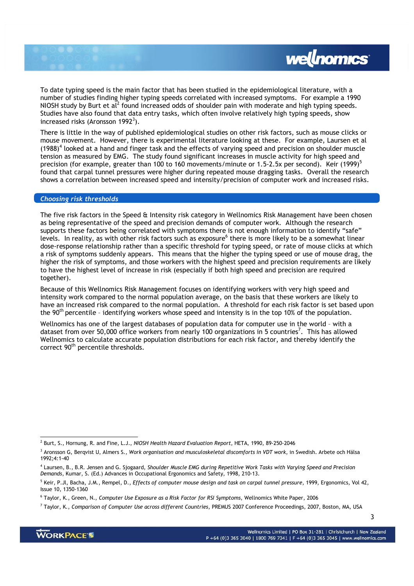

To date typing speed is the main factor that has been studied in the epidemiological literature, with a number of studies finding higher typing speeds correlated with increased symptoms. For example a 1990 NIOSH study by Burt et al<sup>2</sup> found increased odds of shoulder pain with moderate and high typing speeds. Studies have also found that data entry tasks, which often involve relatively high typing speeds, show increased risks (Aronsson 1992 $^3$ ).

There is little in the way of published epidemiological studies on other risk factors, such as mouse clicks or mouse movement. However, there is experimental literature looking at these. For example, Laursen et al  $(1988)^4$  looked at a hand and finger task and the effects of varying speed and precision on shoulder muscle tension as measured by EMG. The study found significant increases in muscle activity for high speed and precision (for example, greater than 100 to 160 movements/minute or 1.5-2.5x per second). Keir (1999)<sup>5</sup> found that carpal tunnel pressures were higher during repeated mouse dragging tasks. Overall the research shows a correlation between increased speed and intensity/precision of computer work and increased risks.

#### Choosing risk thresholds

The five risk factors in the Speed & Intensity risk category in Wellnomics Risk Management have been chosen as being representative of the speed and precision demands of computer work. Although the research supports these factors being correlated with symptoms there is not enough information to identify "safe" levels. In reality, as with other risk factors such as exposure<sup>6</sup> there is more likely to be a somewhat linear dose-response relationship rather than a specific threshold for typing speed, or rate of mouse clicks at which a risk of symptoms suddenly appears. This means that the higher the typing speed or use of mouse drag, the higher the risk of symptoms, and those workers with the highest speed and precision requirements are likely to have the highest level of increase in risk (especially if both high speed and precision are required together).

Because of this Wellnomics Risk Management focuses on identifying workers with very high speed and intensity work compared to the normal population average, on the basis that these workers are likely to have an increased risk compared to the normal population. A threshold for each risk factor is set based upon the  $90<sup>th</sup>$  percentile - identifying workers whose speed and intensity is in the top 10% of the population.

Wellnomics has one of the largest databases of population data for computer use in the world – with a dataset from over 50,000 office workers from nearly 100 organizations in 5 countries<sup>7</sup>. This has allowed Wellnomics to calculate accurate population distributions for each risk factor, and thereby identify the correct 90<sup>th</sup> percentile thresholds.

-

 $^2$  Burt, S., Hornung, R. and Fine, L.J., NIOSH Health Hazard Evaluation Report, HETA, 1990, 89-250-2046

<sup>&</sup>lt;sup>3</sup> Aronsson G, Berqvist U, Almers S., Work organisation and musculoskeletal discomforts in VDT work, in Swedish. Arbete och Hälsa 1992;4:1-40

<sup>4</sup> Laursen, B., B.R. Jensen and G. Sjogaard, Shoulder Muscle EMG during Repetitive Work Tasks with Varying Speed and Precision Demands, Kumar, S. (Ed.) Advances in Occupational Ergonomics and Safety, 1998, 210-13.

<sup>&</sup>lt;sup>5</sup> Keir, P.Jl, Bacha, J.M., Rempel, D., Effects of computer mouse design and task on carpal tunnel pressure, 1999, Ergonomics, Vol 42, Issue 10, 1350-1360

 $^6$  Taylor, K., Green, N., Computer Use Exposure as a Risk Factor for RSI Symptoms, Wellnomics White Paper, 2006

<sup>&</sup>lt;sup>7</sup> Taylor, K., C*omparison of Computer Use across different Countries*, PREMUS 2007 Conference Proceedings, 2007, Boston, MA, USA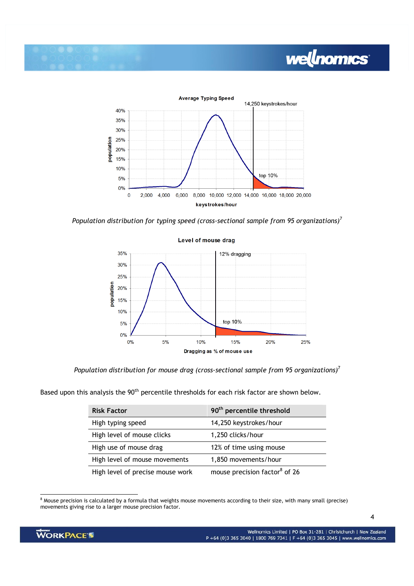

Population distribution for typing speed (cross-sectional sample from 95 organizations)<sup>7</sup>



### Level of mouse drag

Population distribution for mouse drag (cross-sectional sample from 95 organizations)<sup>7</sup>

Based upon this analysis the 90<sup>th</sup> percentile thresholds for each risk factor are shown below.

| <b>Risk Factor</b>               | 90 <sup>th</sup> percentile threshold     |
|----------------------------------|-------------------------------------------|
| High typing speed                | 14,250 keystrokes/hour                    |
| High level of mouse clicks       | 1,250 clicks/hour                         |
| High use of mouse drag           | 12% of time using mouse                   |
| High level of mouse movements    | 1,850 movements/hour                      |
| High level of precise mouse work | mouse precision factor <sup>8</sup> of 26 |

 8 Mouse precision is calculated by a formula that weights mouse movements according to their size, with many small (precise) movements giving rise to a larger mouse precision factor.

wellnomics

4